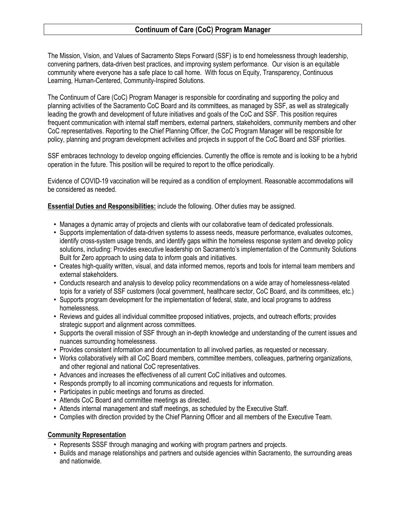The Mission, Vision, and Values of Sacramento Steps Forward (SSF) is to end homelessness through leadership, convening partners, data-driven best practices, and improving system performance. Our vision is an equitable community where everyone has a safe place to call home. With focus on Equity, Transparency, Continuous Learning, Human-Centered, Community-Inspired Solutions.

The Continuum of Care (CoC) Program Manager is responsible for coordinating and supporting the policy and planning activities of the Sacramento CoC Board and its committees, as managed by SSF, as well as strategically leading the growth and development of future initiatives and goals of the CoC and SSF. This position requires frequent communication with internal staff members, external partners, stakeholders, community members and other CoC representatives. Reporting to the Chief Planning Officer, the CoC Program Manager will be responsible for policy, planning and program development activities and projects in support of the CoC Board and SSF priorities.

SSF embraces technology to develop ongoing efficiencies. Currently the office is remote and is looking to be a hybrid operation in the future. This position will be required to report to the office periodically.

Evidence of COVID-19 vaccination will be required as a condition of employment. Reasonable accommodations will be considered as needed.

**Essential Duties and Responsibilities:** include the following. Other duties may be assigned.

- Manages a dynamic array of projects and clients with our collaborative team of dedicated professionals.
- Supports implementation of data-driven systems to assess needs, measure performance, evaluates outcomes, identify cross-system usage trends, and identify gaps within the homeless response system and develop policy solutions, including: Provides executive leadership on Sacramento's implementation of the Community Solutions Built for Zero approach to using data to inform goals and initiatives.
- Creates high-quality written, visual, and data informed memos, reports and tools for internal team members and external stakeholders.
- Conducts research and analysis to develop policy recommendations on a wide array of homelessness-related topis for a variety of SSF customers (local government, healthcare sector, CoC Board, and its committees, etc.)
- Supports program development for the implementation of federal, state, and local programs to address homelessness.
- Reviews and guides all individual committee proposed initiatives, projects, and outreach efforts; provides strategic support and alignment across committees.
- Supports the overall mission of SSF through an in-depth knowledge and understanding of the current issues and nuances surrounding homelessness.
- Provides consistent information and documentation to all involved parties, as requested or necessary.
- Works collaboratively with all CoC Board members, committee members, colleagues, partnering organizations, and other regional and national CoC representatives.
- Advances and increases the effectiveness of all current CoC initiatives and outcomes.
- Responds promptly to all incoming communications and requests for information.
- Participates in public meetings and forums as directed.
- Attends CoC Board and committee meetings as directed.
- Attends internal management and staff meetings, as scheduled by the Executive Staff.
- Complies with direction provided by the Chief Planning Officer and all members of the Executive Team.

## **Community Representation**

- Represents SSSF through managing and working with program partners and projects.
- Builds and manage relationships and partners and outside agencies within Sacramento, the surrounding areas and nationwide.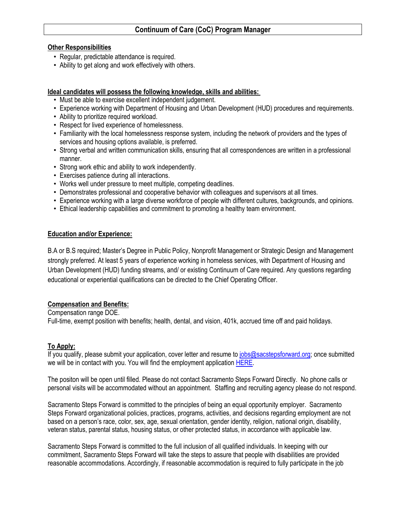### **Other Responsibilities**

- Regular, predictable attendance is required.
- Ability to get along and work effectively with others.

### **Ideal candidates will possess the following knowledge, skills and abilities:**

- Must be able to exercise excellent independent judgement.
- Experience working with Department of Housing and Urban Development (HUD) procedures and requirements.
- Ability to prioritize required workload.
- Respect for lived experience of homelessness.
- Familiarity with the local homelessness response system, including the network of providers and the types of services and housing options available, is preferred.
- Strong verbal and written communication skills, ensuring that all correspondences are written in a professional manner.
- Strong work ethic and ability to work independently.
- Exercises patience during all interactions.
- Works well under pressure to meet multiple, competing deadlines.
- Demonstrates professional and cooperative behavior with colleagues and supervisors at all times.
- Experience working with a large diverse workforce of people with different cultures, backgrounds, and opinions.
- Ethical leadership capabilities and commitment to promoting a healthy team environment.

### **Education and/or Experience:**

B.A or B.S required; Master's Degree in Public Policy, Nonprofit Management or Strategic Design and Management strongly preferred. At least 5 years of experience working in homeless services, with Department of Housing and Urban Development (HUD) funding streams, and/ or existing Continuum of Care required. Any questions regarding educational or experiential qualifications can be directed to the Chief Operating Officer.

## **Compensation and Benefits:**

Compensation range DOE. Full-time, exempt position with benefits; health, dental, and vision, 401k, accrued time off and paid holidays.

## **To Apply:**

If you qualify, please submit your application, cover letter and resume to [jobs@sacstepsforward.org;](mailto:jobs@sacstepsforward.org) once submitted we will be in contact with you. You will find the employment application [HERE.](https://nam11.safelinks.protection.outlook.com/?url=https%3A%2F%2Fsacramentostepsforward.org%2Fwp-content%2Fuploads%2F2022%2F05%2FApplication-for-Employment-Filable.pdf&data=05%7C01%7Ckkuchlenz%40sacstepsforward.org%7C2e8a2e24290b4ce874ab08da2e224b2b%7Cd028ae6fed514727bf3ae8fcab762035%7C1%7C0%7C637873022083239519%7CUnknown%7CTWFpbGZsb3d8eyJWIjoiMC4wLjAwMDAiLCJQIjoiV2luMzIiLCJBTiI6Ik1haWwiLCJXVCI6Mn0%3D%7C3000%7C%7C%7C&sdata=mkcAAitBoK4nrUCvNDY6J504lemkSeFbi0US3F6Mnvc%3D&reserved=0)

The positon will be open until filled. Please do not contact Sacramento Steps Forward Directly. No phone calls or personal visits will be accommodated without an appointment. Staffing and recruiting agency please do not respond.

Sacramento Steps Forward is committed to the principles of being an equal opportunity employer. Sacramento Steps Forward organizational policies, practices, programs, activities, and decisions regarding employment are not based on a person's race, color, sex, age, sexual orientation, gender identity, religion, national origin, disability, veteran status, parental status, housing status, or other protected status, in accordance with applicable law.

Sacramento Steps Forward is committed to the full inclusion of all qualified individuals. In keeping with our commitment, Sacramento Steps Forward will take the steps to assure that people with disabilities are provided reasonable accommodations. Accordingly, if reasonable accommodation is required to fully participate in the job